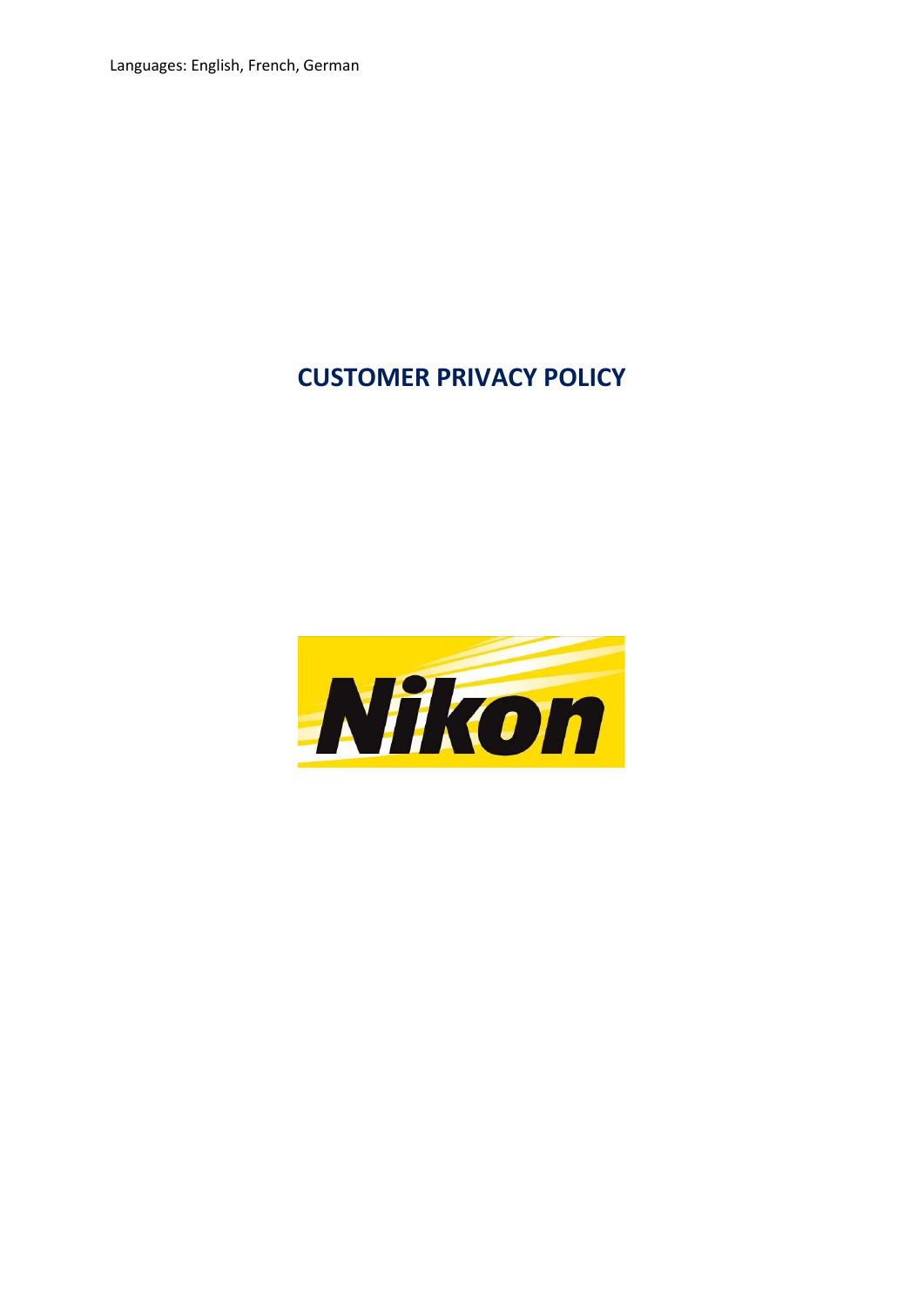Languages: English, French, German

# CUSTOMER PRIVACY POLICY

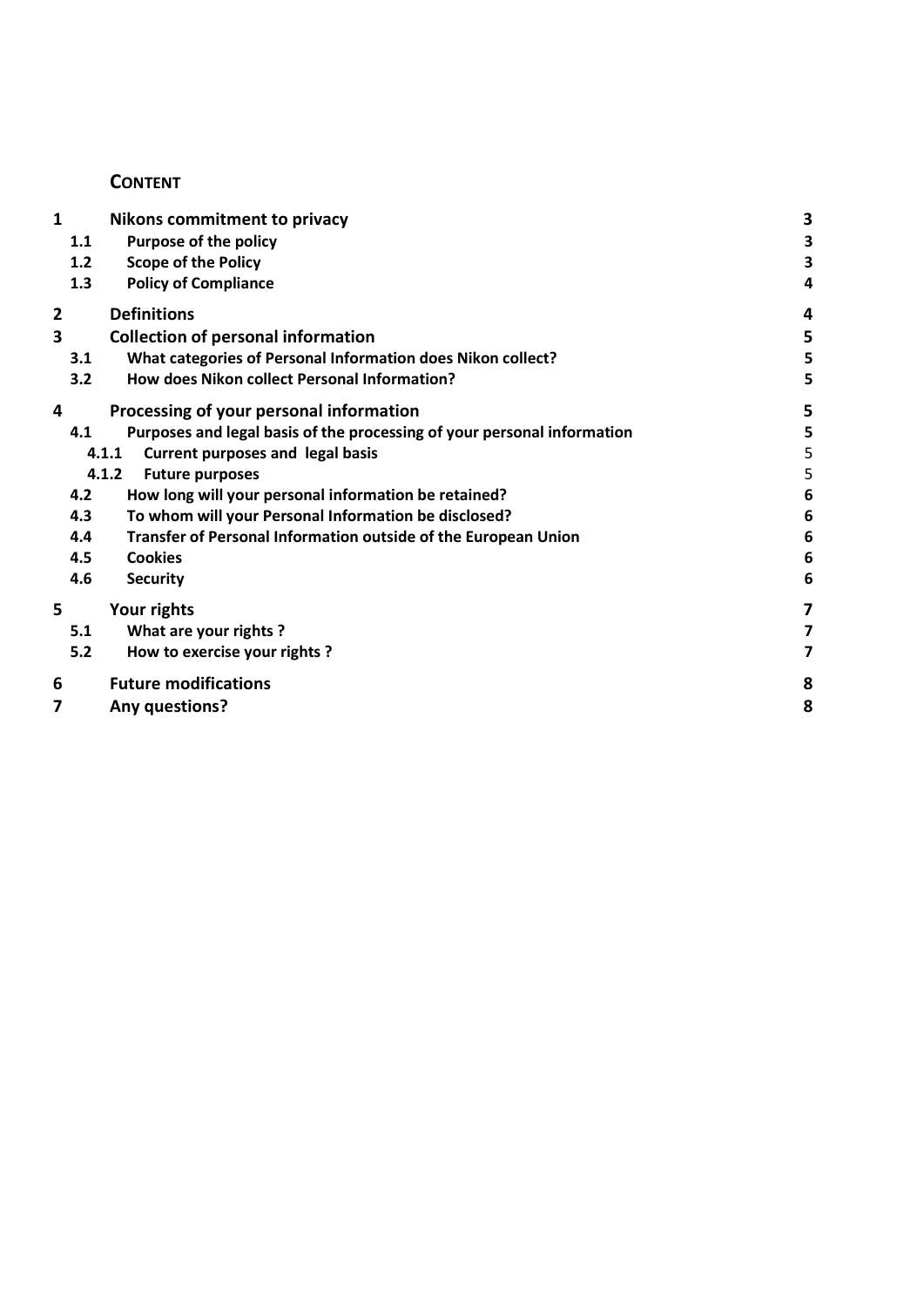## **CONTENT**

| 1 | <b>Nikons commitment to privacy</b>                                            | 3               |
|---|--------------------------------------------------------------------------------|-----------------|
|   | <b>Purpose of the policy</b><br>1.1                                            | 3               |
|   | <b>Scope of the Policy</b><br>1.2                                              | 3               |
|   | <b>Policy of Compliance</b><br>1.3                                             | 4               |
| 2 | <b>Definitions</b>                                                             | 4               |
| 3 | <b>Collection of personal information</b>                                      | 5               |
|   | What categories of Personal Information does Nikon collect?<br>3.1             | 5               |
|   | How does Nikon collect Personal Information?<br>3.2                            | 5               |
| 4 | Processing of your personal information                                        | 5               |
|   | Purposes and legal basis of the processing of your personal information<br>4.1 | 5               |
|   | <b>Current purposes and legal basis</b><br>4.1.1                               | 5               |
|   | 4.1.2<br><b>Future purposes</b>                                                | 5               |
|   | How long will your personal information be retained?<br>4.2                    | $6\phantom{1}6$ |
|   | To whom will your Personal Information be disclosed?<br>4.3                    | $6\phantom{1}6$ |
|   | Transfer of Personal Information outside of the European Union<br>4.4          | 6               |
|   | <b>Cookies</b><br>4.5                                                          | $6\phantom{1}6$ |
|   | 4.6<br><b>Security</b>                                                         | 6               |
| 5 | Your rights                                                                    | 7               |
|   | What are your rights?<br>5.1                                                   | 7               |
|   | 5.2<br>How to exercise your rights?                                            | 7               |
| 6 | <b>Future modifications</b>                                                    | 8               |
| 7 | Any questions?                                                                 | 8               |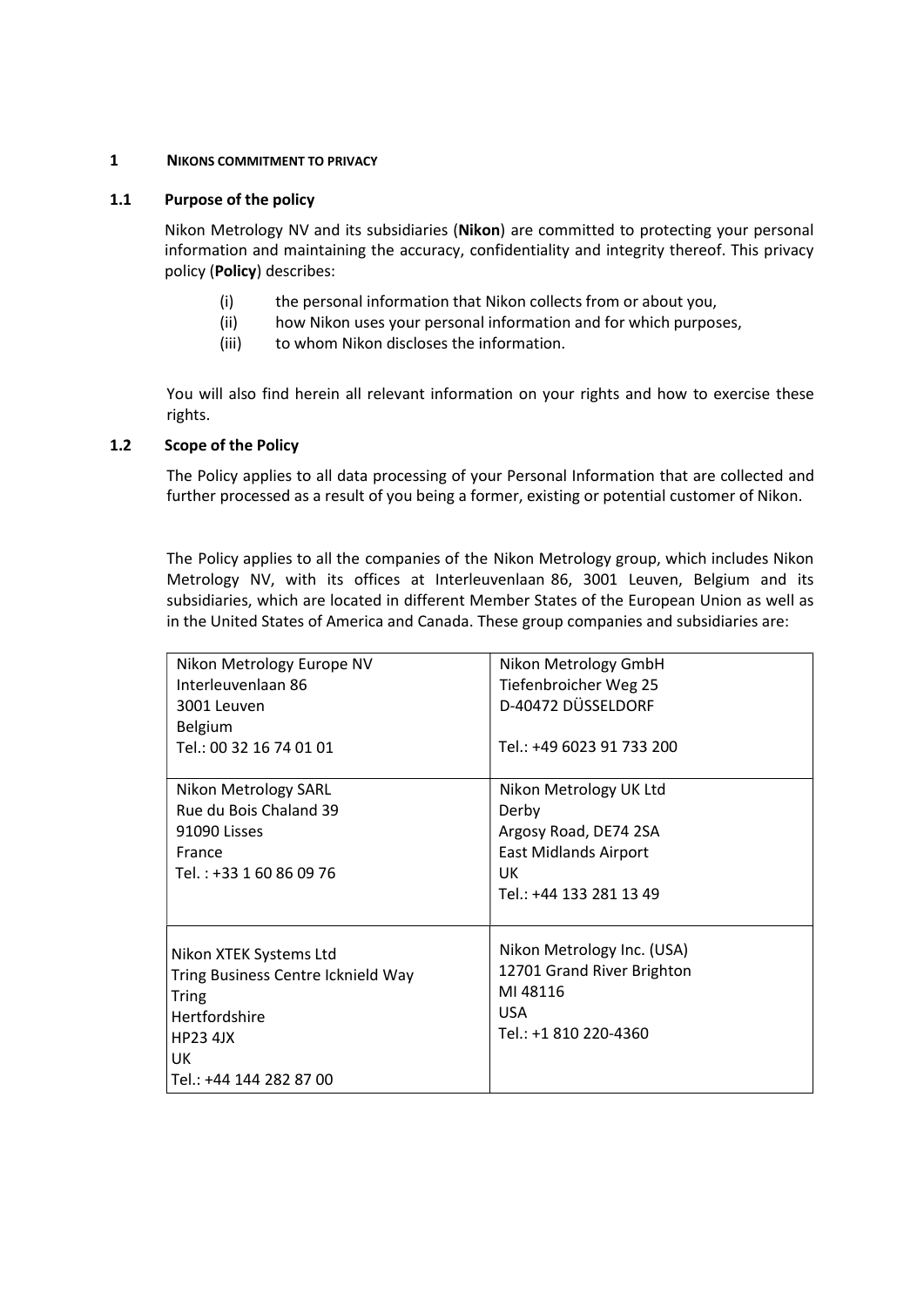#### 1 NIKONS COMMITMENT TO PRIVACY

### 1.1 Purpose of the policy

Nikon Metrology NV and its subsidiaries (Nikon) are committed to protecting your personal information and maintaining the accuracy, confidentiality and integrity thereof. This privacy policy (Policy) describes:

- (i) the personal information that Nikon collects from or about you,
- (ii) how Nikon uses your personal information and for which purposes,
- (iii) to whom Nikon discloses the information.

You will also find herein all relevant information on your rights and how to exercise these rights.

#### 1.2 Scope of the Policy

The Policy applies to all data processing of your Personal Information that are collected and further processed as a result of you being a former, existing or potential customer of Nikon.

The Policy applies to all the companies of the Nikon Metrology group, which includes Nikon Metrology NV, with its offices at Interleuvenlaan 86, 3001 Leuven, Belgium and its subsidiaries, which are located in different Member States of the European Union as well as in the United States of America and Canada. These group companies and subsidiaries are:

| Nikon Metrology Europe NV<br>Interleuvenlaan 86<br>3001 Leuven<br>Belgium<br>Tel.: 00 32 16 74 01 01                                        | Nikon Metrology GmbH<br>Tiefenbroicher Weg 25<br>D-40472 DÜSSELDORF<br>Tel.: +49 6023 91 733 200                          |
|---------------------------------------------------------------------------------------------------------------------------------------------|---------------------------------------------------------------------------------------------------------------------------|
| Nikon Metrology SARL<br>Rue du Bois Chaland 39<br>91090 Lisses<br>France<br>Tel.: +33 1 60 86 09 76                                         | Nikon Metrology UK Ltd<br>Derby<br>Argosy Road, DE74 2SA<br><b>East Midlands Airport</b><br>UK<br>Tel.: +44 133 281 13 49 |
| Nikon XTEK Systems Ltd<br>Tring Business Centre Icknield Way<br>Tring<br>Hertfordshire<br><b>HP23 4JX</b><br>UK.<br>Tel.: +44 144 282 87 00 | Nikon Metrology Inc. (USA)<br>12701 Grand River Brighton<br>MI 48116<br><b>USA</b><br>Tel.: +1 810 220-4360               |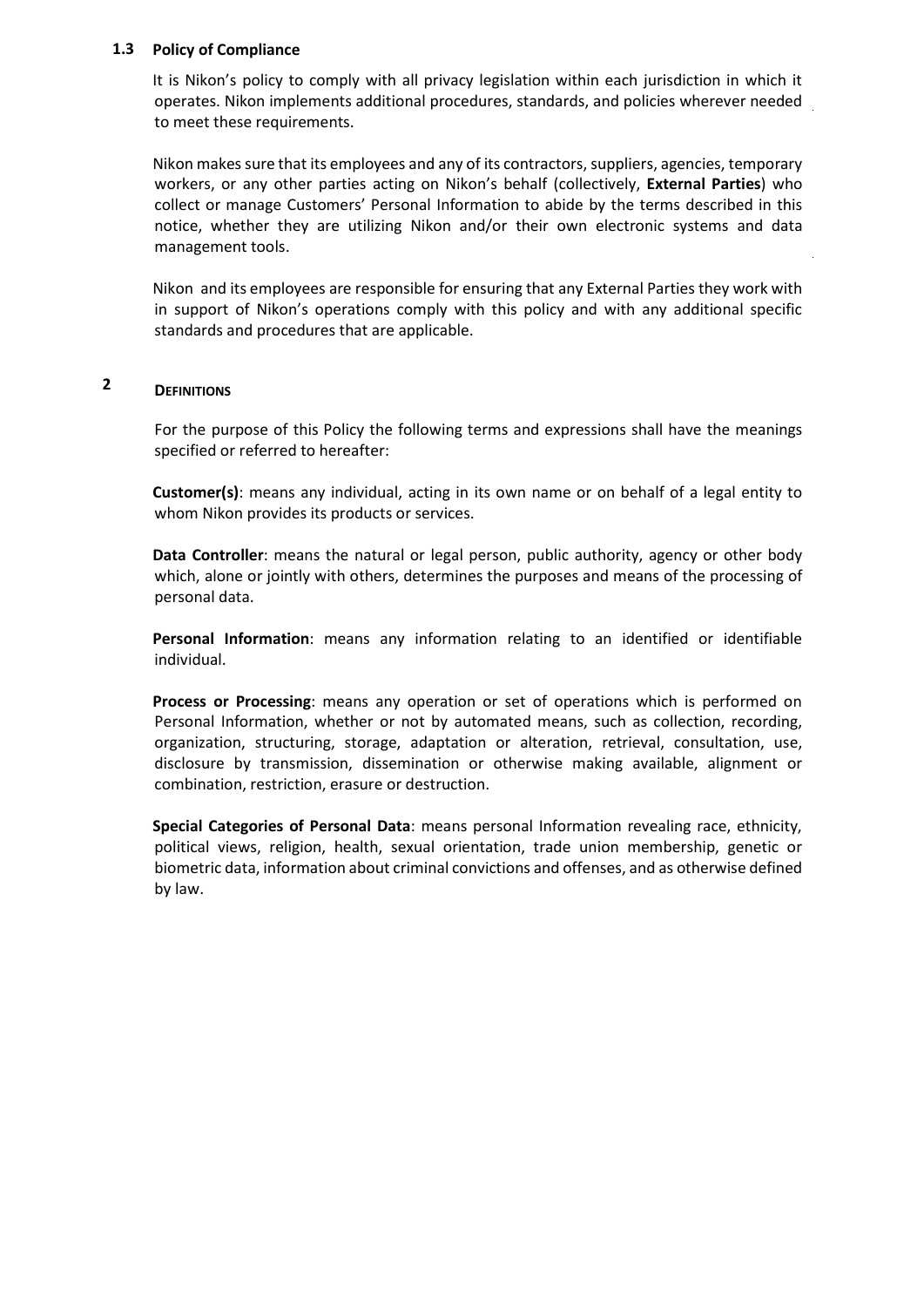### 1.3 Policy of Compliance

It is Nikon's policy to comply with all privacy legislation within each jurisdiction in which it operates. Nikon implements additional procedures, standards, and policies wherever needed to meet these requirements.

Nikon makes sure that its employees and any of its contractors, suppliers, agencies, temporary workers, or any other parties acting on Nikon's behalf (collectively, External Parties) who collect or manage Customers' Personal Information to abide by the terms described in this notice, whether they are utilizing Nikon and/or their own electronic systems and data management tools.

Nikon and its employees are responsible for ensuring that any External Parties they work with in support of Nikon's operations comply with this policy and with any additional specific standards and procedures that are applicable.

#### 2 **DEFINITIONS**

For the purpose of this Policy the following terms and expressions shall have the meanings specified or referred to hereafter:

Customer(s): means any individual, acting in its own name or on behalf of a legal entity to whom Nikon provides its products or services.

Data Controller: means the natural or legal person, public authority, agency or other body which, alone or jointly with others, determines the purposes and means of the processing of personal data.

Personal Information: means any information relating to an identified or identifiable individual.

Process or Processing: means any operation or set of operations which is performed on Personal Information, whether or not by automated means, such as collection, recording, organization, structuring, storage, adaptation or alteration, retrieval, consultation, use, disclosure by transmission, dissemination or otherwise making available, alignment or combination, restriction, erasure or destruction.

Special Categories of Personal Data: means personal Information revealing race, ethnicity, political views, religion, health, sexual orientation, trade union membership, genetic or biometric data, information about criminal convictions and offenses, and as otherwise defined by law.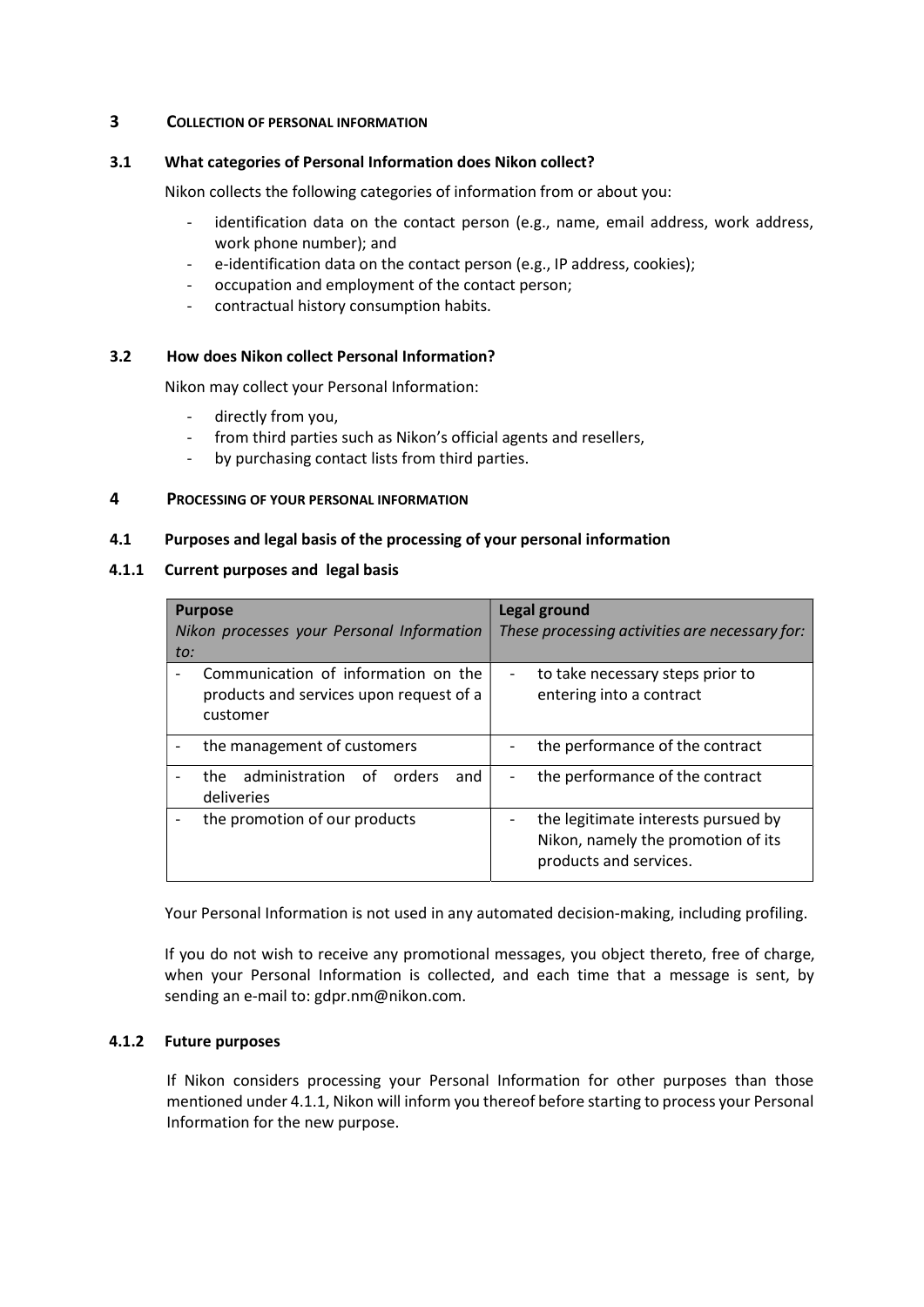#### 3 COLLECTION OF PERSONAL INFORMATION

#### 3.1 What categories of Personal Information does Nikon collect?

Nikon collects the following categories of information from or about you:

- identification data on the contact person (e.g., name, email address, work address, work phone number); and
- e-identification data on the contact person (e.g., IP address, cookies);
- occupation and employment of the contact person;
- contractual history consumption habits.

### 3.2 How does Nikon collect Personal Information?

Nikon may collect your Personal Information:

- directly from you,
- from third parties such as Nikon's official agents and resellers,
- by purchasing contact lists from third parties.

### 4 PROCESSING OF YOUR PERSONAL INFORMATION

#### 4.1 Purposes and legal basis of the processing of your personal information

#### 4.1.1 Current purposes and legal basis

| <b>Purpose</b><br>Nikon processes your Personal Information<br>to:                         | <b>Legal ground</b><br>These processing activities are necessary for:                               |  |
|--------------------------------------------------------------------------------------------|-----------------------------------------------------------------------------------------------------|--|
| Communication of information on the<br>products and services upon request of a<br>customer | to take necessary steps prior to<br>-<br>entering into a contract                                   |  |
| the management of customers                                                                | the performance of the contract                                                                     |  |
| the administration<br>of _<br>orders<br>and<br>deliveries                                  | the performance of the contract                                                                     |  |
| the promotion of our products                                                              | the legitimate interests pursued by<br>Nikon, namely the promotion of its<br>products and services. |  |

Your Personal Information is not used in any automated decision-making, including profiling.

If you do not wish to receive any promotional messages, you object thereto, free of charge, when your Personal Information is collected, and each time that a message is sent, by sending an e-mail to: gdpr.nm@nikon.com.

### 4.1.2 Future purposes

If Nikon considers processing your Personal Information for other purposes than those mentioned under 4.1.1, Nikon will inform you thereof before starting to process your Personal Information for the new purpose.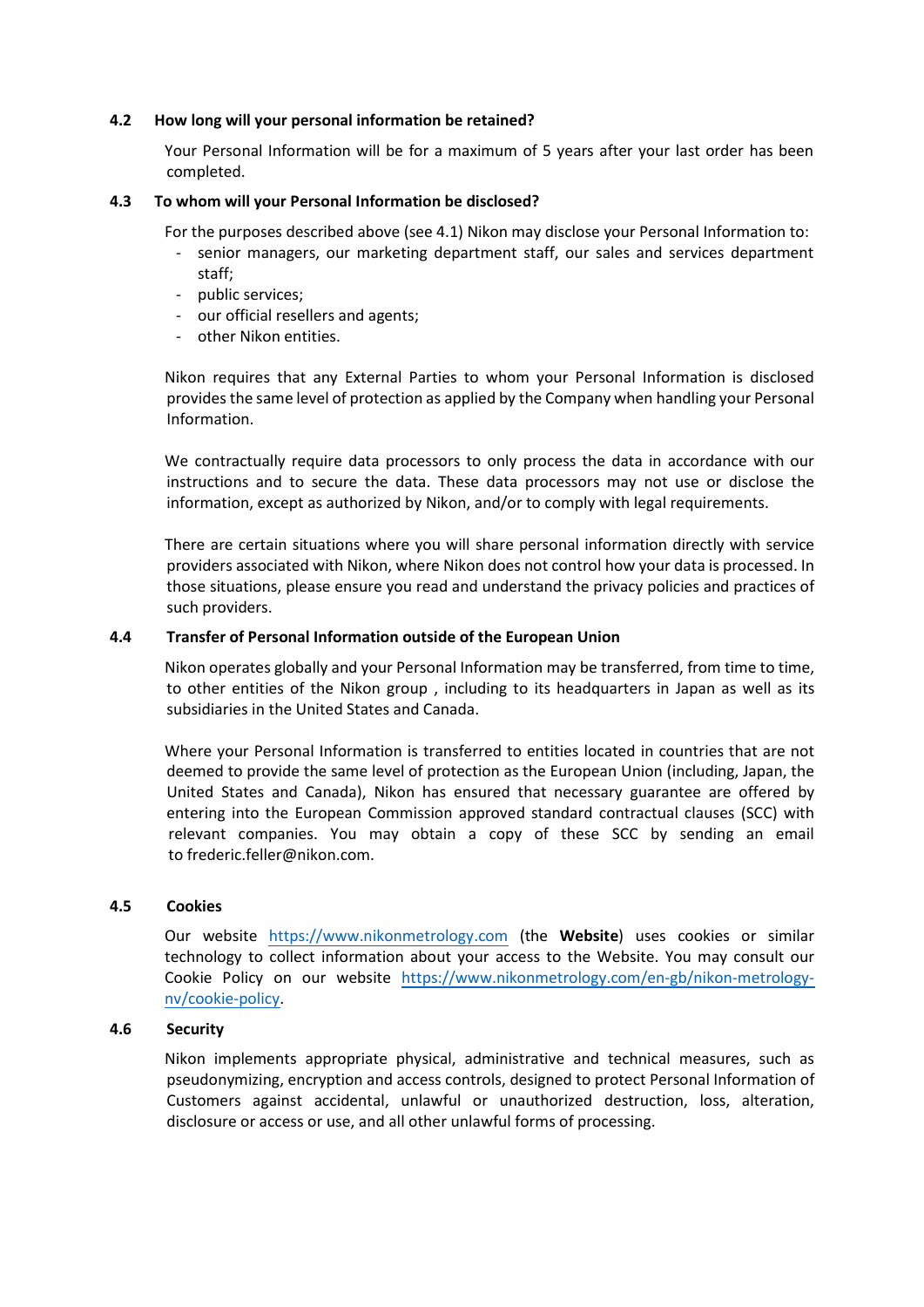#### 4.2 How long will your personal information be retained?

Your Personal Information will be for a maximum of 5 years after your last order has been completed.

#### 4.3 To whom will your Personal Information be disclosed?

For the purposes described above (see 4.1) Nikon may disclose your Personal Information to:

- senior managers, our marketing department staff, our sales and services department staff;
- public services;
- our official resellers and agents;
- other Nikon entities.

Nikon requires that any External Parties to whom your Personal Information is disclosed provides the same level of protection as applied by the Company when handling your Personal Information.

We contractually require data processors to only process the data in accordance with our instructions and to secure the data. These data processors may not use or disclose the information, except as authorized by Nikon, and/or to comply with legal requirements.

There are certain situations where you will share personal information directly with service providers associated with Nikon, where Nikon does not control how your data is processed. In those situations, please ensure you read and understand the privacy policies and practices of such providers.

#### 4.4 Transfer of Personal Information outside of the European Union

Nikon operates globally and your Personal Information may be transferred, from time to time, to other entities of the Nikon group , including to its headquarters in Japan as well as its subsidiaries in the United States and Canada.

Where your Personal Information is transferred to entities located in countries that are not deemed to provide the same level of protection as the European Union (including, Japan, the United States and Canada), Nikon has ensured that necessary guarantee are offered by entering into the European Commission approved standard contractual clauses (SCC) with relevant companies. You may obtain a copy of these SCC by sending an email to frederic.feller@nikon.com.

#### 4.5 **Cookies**

Our website https://www.nikonmetrology.com (the Website) uses cookies or similar technology to collect information about your access to the Website. You may consult our Cookie Policy on our website https://www.nikonmetrology.com/en-gb/nikon-metrologynv/cookie-policy.

#### 4.6 **Security**

Nikon implements appropriate physical, administrative and technical measures, such as pseudonymizing, encryption and access controls, designed to protect Personal Information of Customers against accidental, unlawful or unauthorized destruction, loss, alteration, disclosure or access or use, and all other unlawful forms of processing.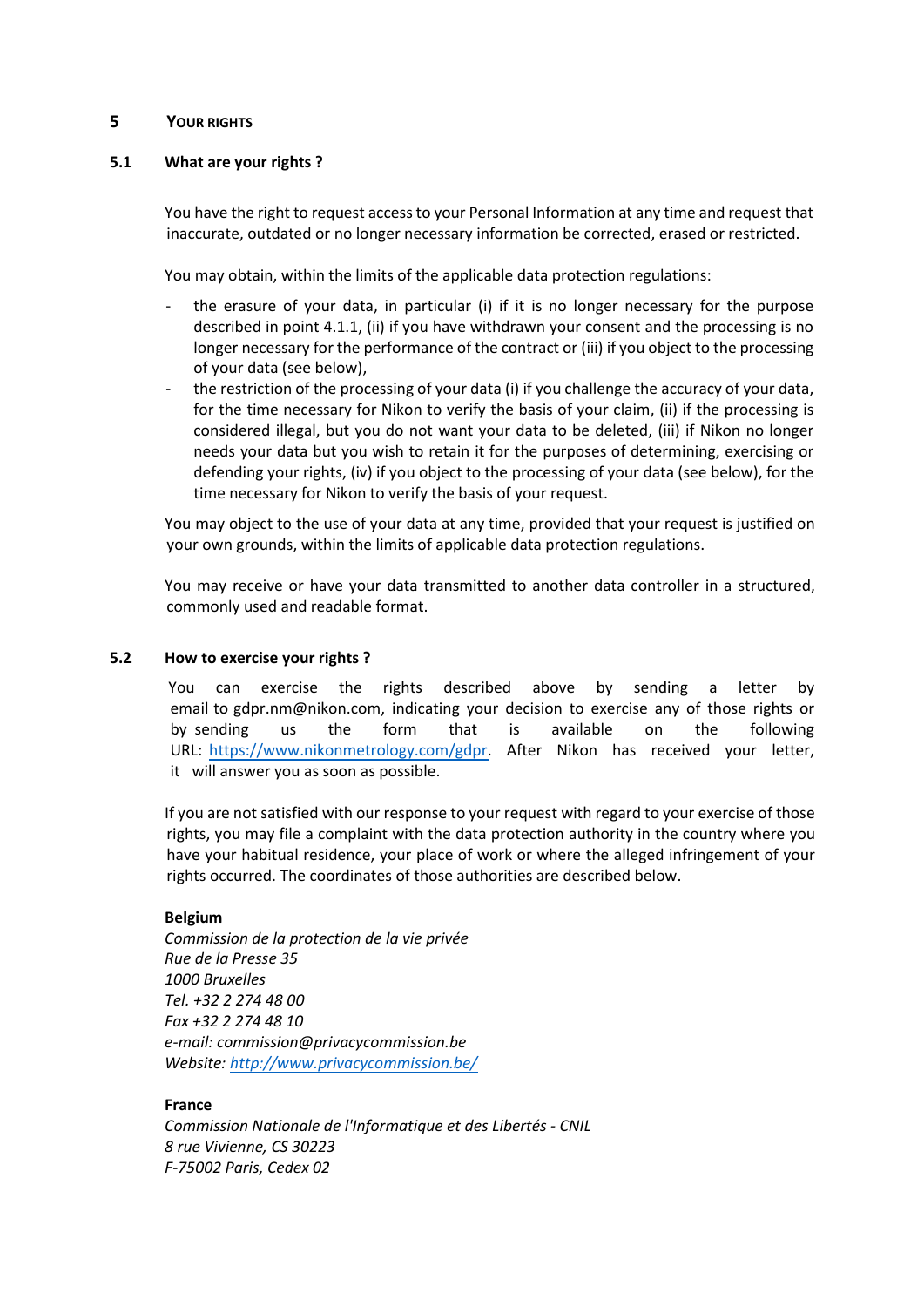### 5 YOUR RIGHTS

### 5.1 What are your rights ?

You have the right to request access to your Personal Information at any time and request that inaccurate, outdated or no longer necessary information be corrected, erased or restricted.

You may obtain, within the limits of the applicable data protection regulations:

- the erasure of your data, in particular (i) if it is no longer necessary for the purpose described in point 4.1.1, (ii) if you have withdrawn your consent and the processing is no longer necessary for the performance of the contract or (iii) if you object to the processing of your data (see below),
- the restriction of the processing of your data (i) if you challenge the accuracy of your data, for the time necessary for Nikon to verify the basis of your claim, (ii) if the processing is considered illegal, but you do not want your data to be deleted, (iii) if Nikon no longer needs your data but you wish to retain it for the purposes of determining, exercising or defending your rights, (iv) if you object to the processing of your data (see below), for the time necessary for Nikon to verify the basis of your request.

You may object to the use of your data at any time, provided that your request is justified on your own grounds, within the limits of applicable data protection regulations.

You may receive or have your data transmitted to another data controller in a structured, commonly used and readable format.

#### 5.2 How to exercise your rights ?

You can exercise the rights described above by sending a letter by email to gdpr.nm@nikon.com, indicating your decision to exercise any of those rights or by sending us the form that is available on the following URL: https://www.nikonmetrology.com/gdpr. After Nikon has received your letter, it will answer you as soon as possible.

If you are not satisfied with our response to your request with regard to your exercise of those rights, you may file a complaint with the data protection authority in the country where you have your habitual residence, your place of work or where the alleged infringement of your rights occurred. The coordinates of those authorities are described below.

### Belgium

Commission de la protection de la vie privée Rue de la Presse 35 1000 Bruxelles Tel. +32 2 274 48 00 Fax +32 2 274 48 10 e-mail: commission@privacycommission.be Website: http://www.privacycommission.be/

### France

Commission Nationale de l'Informatique et des Libertés - CNIL 8 rue Vivienne, CS 30223 F-75002 Paris, Cedex 02